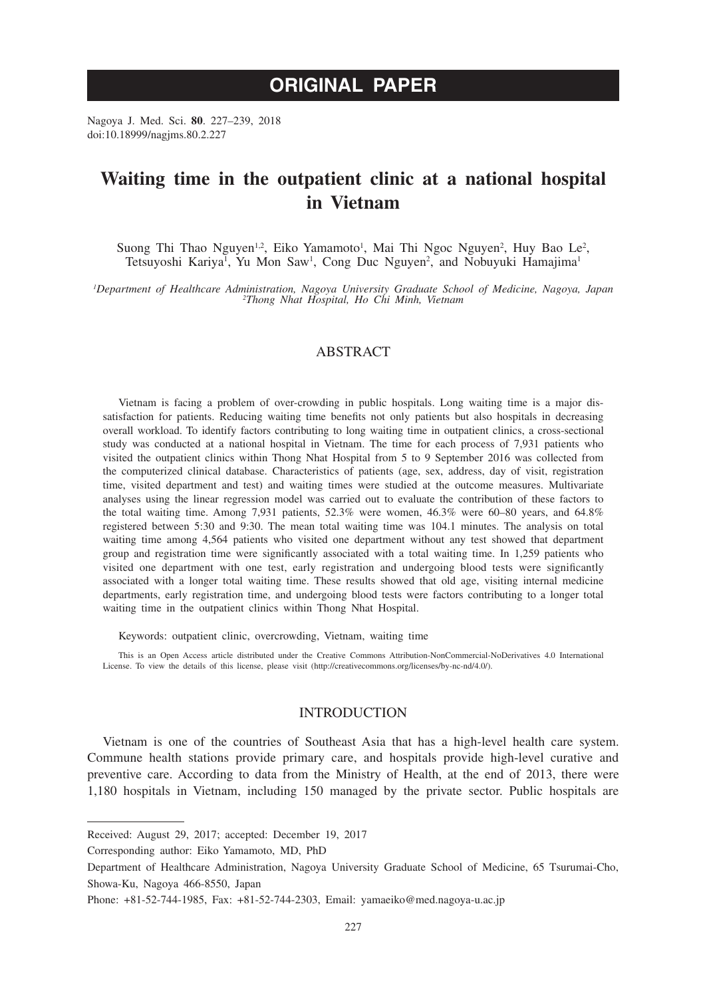# **ORIGINAL PAPER**

Nagoya J. Med. Sci. **80**. 227–239, 2018 doi:10.18999/nagjms.80.2.227

# **Waiting time in the outpatient clinic at a national hospital in Vietnam**

Suong Thi Thao Nguyen<sup>1,2</sup>, Eiko Yamamoto<sup>1</sup>, Mai Thi Ngoc Nguyen<sup>2</sup>, Huy Bao Le<sup>2</sup>, Tetsuyoshi Kariya<sup>1</sup>, Yu Mon Saw<sup>1</sup>, Cong Duc Nguyen<sup>2</sup>, and Nobuyuki Hamajima<sup>1</sup>

*1 Department of Healthcare Administration, Nagoya University Graduate School of Medicine, Nagoya, Japan <sup>2</sup> Thong Nhat Hospital, Ho Chi Minh, Vietnam*

# ABSTRACT

Vietnam is facing a problem of over-crowding in public hospitals. Long waiting time is a major dissatisfaction for patients. Reducing waiting time benefits not only patients but also hospitals in decreasing overall workload. To identify factors contributing to long waiting time in outpatient clinics, a cross-sectional study was conducted at a national hospital in Vietnam. The time for each process of 7,931 patients who visited the outpatient clinics within Thong Nhat Hospital from 5 to 9 September 2016 was collected from the computerized clinical database. Characteristics of patients (age, sex, address, day of visit, registration time, visited department and test) and waiting times were studied at the outcome measures. Multivariate analyses using the linear regression model was carried out to evaluate the contribution of these factors to the total waiting time. Among 7,931 patients, 52.3% were women, 46.3% were 60–80 years, and 64.8% registered between 5:30 and 9:30. The mean total waiting time was 104.1 minutes. The analysis on total waiting time among 4,564 patients who visited one department without any test showed that department group and registration time were significantly associated with a total waiting time. In 1,259 patients who visited one department with one test, early registration and undergoing blood tests were significantly associated with a longer total waiting time. These results showed that old age, visiting internal medicine departments, early registration time, and undergoing blood tests were factors contributing to a longer total waiting time in the outpatient clinics within Thong Nhat Hospital.

Keywords: outpatient clinic, overcrowding, Vietnam, waiting time

This is an Open Access article distributed under the Creative Commons Attribution-NonCommercial-NoDerivatives 4.0 International License. To view the details of this license, please visit (http://creativecommons.org/licenses/by-nc-nd/4.0/).

# **INTRODUCTION**

Vietnam is one of the countries of Southeast Asia that has a high-level health care system. Commune health stations provide primary care, and hospitals provide high-level curative and preventive care. According to data from the Ministry of Health, at the end of 2013, there were 1,180 hospitals in Vietnam, including 150 managed by the private sector. Public hospitals are

Corresponding author: Eiko Yamamoto, MD, PhD

Received: August 29, 2017; accepted: December 19, 2017

Department of Healthcare Administration, Nagoya University Graduate School of Medicine, 65 Tsurumai-Cho, Showa-Ku, Nagoya 466-8550, Japan

Phone: +81-52-744-1985, Fax: +81-52-744-2303, Email: yamaeiko@med.nagoya-u.ac.jp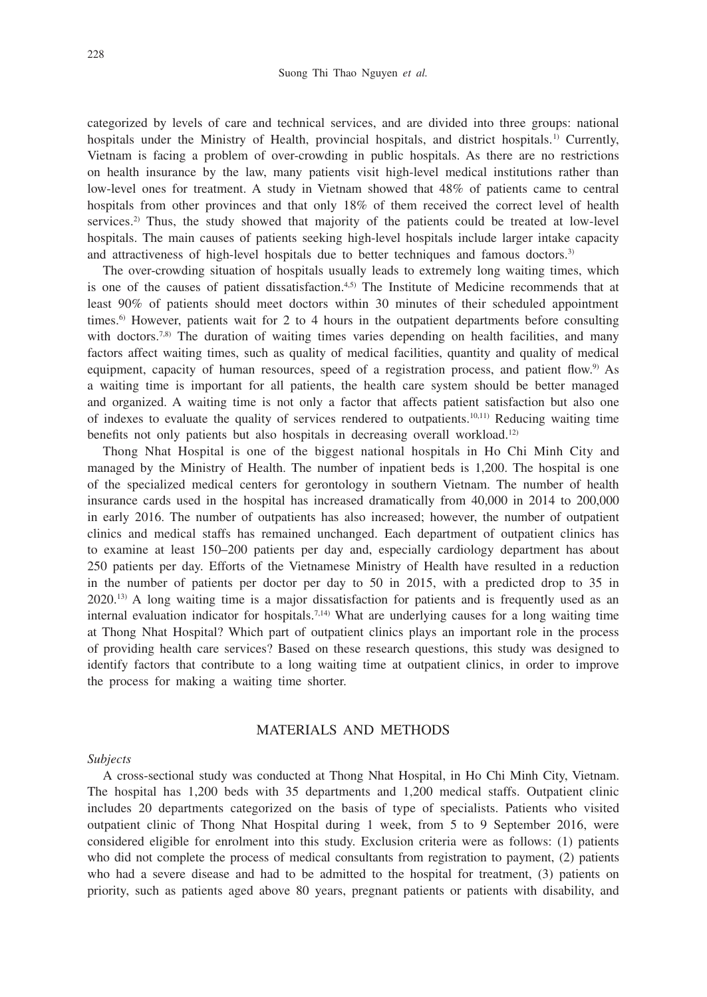categorized by levels of care and technical services, and are divided into three groups: national hospitals under the Ministry of Health, provincial hospitals, and district hospitals.<sup>1)</sup> Currently, Vietnam is facing a problem of over-crowding in public hospitals. As there are no restrictions on health insurance by the law, many patients visit high-level medical institutions rather than low-level ones for treatment. A study in Vietnam showed that 48% of patients came to central hospitals from other provinces and that only 18% of them received the correct level of health services.<sup>2)</sup> Thus, the study showed that majority of the patients could be treated at low-level hospitals. The main causes of patients seeking high-level hospitals include larger intake capacity and attractiveness of high-level hospitals due to better techniques and famous doctors.<sup>3)</sup>

The over-crowding situation of hospitals usually leads to extremely long waiting times, which is one of the causes of patient dissatisfaction.<sup>4,5)</sup> The Institute of Medicine recommends that at least 90% of patients should meet doctors within 30 minutes of their scheduled appointment times.6) However, patients wait for 2 to 4 hours in the outpatient departments before consulting with doctors.<sup>7,8)</sup> The duration of waiting times varies depending on health facilities, and many factors affect waiting times, such as quality of medical facilities, quantity and quality of medical equipment, capacity of human resources, speed of a registration process, and patient flow.<sup>9)</sup> As a waiting time is important for all patients, the health care system should be better managed and organized. A waiting time is not only a factor that affects patient satisfaction but also one of indexes to evaluate the quality of services rendered to outpatients.10,11) Reducing waiting time benefits not only patients but also hospitals in decreasing overall workload.<sup>12)</sup>

Thong Nhat Hospital is one of the biggest national hospitals in Ho Chi Minh City and managed by the Ministry of Health. The number of inpatient beds is 1,200. The hospital is one of the specialized medical centers for gerontology in southern Vietnam. The number of health insurance cards used in the hospital has increased dramatically from 40,000 in 2014 to 200,000 in early 2016. The number of outpatients has also increased; however, the number of outpatient clinics and medical staffs has remained unchanged. Each department of outpatient clinics has to examine at least 150–200 patients per day and, especially cardiology department has about 250 patients per day. Efforts of the Vietnamese Ministry of Health have resulted in a reduction in the number of patients per doctor per day to 50 in 2015, with a predicted drop to 35 in 2020.13) A long waiting time is a major dissatisfaction for patients and is frequently used as an internal evaluation indicator for hospitals.<sup>7,14)</sup> What are underlying causes for a long waiting time at Thong Nhat Hospital? Which part of outpatient clinics plays an important role in the process of providing health care services? Based on these research questions, this study was designed to identify factors that contribute to a long waiting time at outpatient clinics, in order to improve the process for making a waiting time shorter.

# MATERIALS AND METHODS

## *Subjects*

A cross-sectional study was conducted at Thong Nhat Hospital, in Ho Chi Minh City, Vietnam. The hospital has 1,200 beds with 35 departments and 1,200 medical staffs. Outpatient clinic includes 20 departments categorized on the basis of type of specialists. Patients who visited outpatient clinic of Thong Nhat Hospital during 1 week, from 5 to 9 September 2016, were considered eligible for enrolment into this study. Exclusion criteria were as follows: (1) patients who did not complete the process of medical consultants from registration to payment, (2) patients who had a severe disease and had to be admitted to the hospital for treatment, (3) patients on priority, such as patients aged above 80 years, pregnant patients or patients with disability, and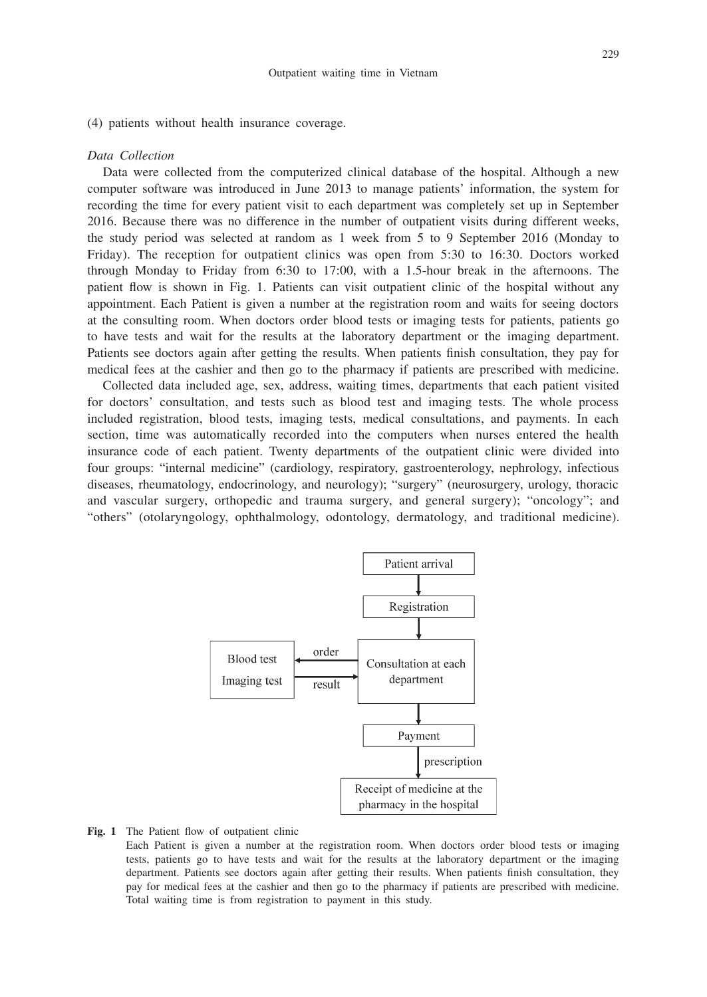(4) patients without health insurance coverage.

#### *Data Collection*

Data were collected from the computerized clinical database of the hospital. Although a new computer software was introduced in June 2013 to manage patients' information, the system for recording the time for every patient visit to each department was completely set up in September 2016. Because there was no difference in the number of outpatient visits during different weeks, the study period was selected at random as 1 week from 5 to 9 September 2016 (Monday to Friday). The reception for outpatient clinics was open from 5:30 to 16:30. Doctors worked through Monday to Friday from 6:30 to 17:00, with a 1.5-hour break in the afternoons. The patient flow is shown in Fig. 1. Patients can visit outpatient clinic of the hospital without any appointment. Each Patient is given a number at the registration room and waits for seeing doctors at the consulting room. When doctors order blood tests or imaging tests for patients, patients go to have tests and wait for the results at the laboratory department or the imaging department. Patients see doctors again after getting the results. When patients finish consultation, they pay for medical fees at the cashier and then go to the pharmacy if patients are prescribed with medicine.

Collected data included age, sex, address, waiting times, departments that each patient visited for doctors' consultation, and tests such as blood test and imaging tests. The whole process included registration, blood tests, imaging tests, medical consultations, and payments. In each section, time was automatically recorded into the computers when nurses entered the health insurance code of each patient. Twenty departments of the outpatient clinic were divided into four groups: "internal medicine" (cardiology, respiratory, gastroenterology, nephrology, infectious diseases, rheumatology, endocrinology, and neurology); "surgery" (neurosurgery, urology, thoracic and vascular surgery, orthopedic and trauma surgery, and general surgery); "oncology"; and "others" (otolaryngology, ophthalmology, odontology, dermatology, and traditional medicine).



#### **Fig. 1** The Patient flow of outpatient clinic

 Each Patient is given a number at the registration room. When doctors order blood tests or imaging tests, patients go to have tests and wait for the results at the laboratory department or the imaging department. Patients see doctors again after getting their results. When patients finish consultation, they pay for medical fees at the cashier and then go to the pharmacy if patients are prescribed with medicine. Total waiting time is from registration to payment in this study.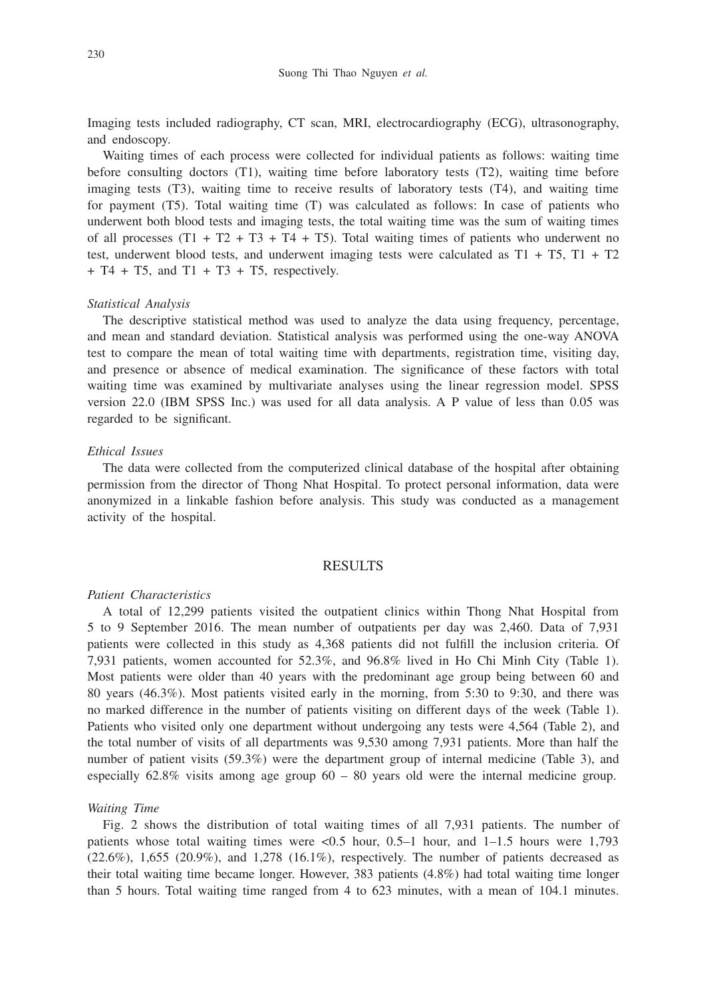Imaging tests included radiography, CT scan, MRI, electrocardiography (ECG), ultrasonography, and endoscopy.

Waiting times of each process were collected for individual patients as follows: waiting time before consulting doctors (T1), waiting time before laboratory tests (T2), waiting time before imaging tests (T3), waiting time to receive results of laboratory tests (T4), and waiting time for payment (T5). Total waiting time (T) was calculated as follows: In case of patients who underwent both blood tests and imaging tests, the total waiting time was the sum of waiting times of all processes  $(T1 + T2 + T3 + T4 + T5)$ . Total waiting times of patients who underwent no test, underwent blood tests, and underwent imaging tests were calculated as  $T1 + T5$ ,  $T1 + T2$  $+$  T4  $+$  T5, and T1  $+$  T3  $+$  T5, respectively.

### *Statistical Analysis*

The descriptive statistical method was used to analyze the data using frequency, percentage, and mean and standard deviation. Statistical analysis was performed using the one-way ANOVA test to compare the mean of total waiting time with departments, registration time, visiting day, and presence or absence of medical examination. The significance of these factors with total waiting time was examined by multivariate analyses using the linear regression model. SPSS version 22.0 (IBM SPSS Inc.) was used for all data analysis. A P value of less than 0.05 was regarded to be significant.

## *Ethical Issues*

The data were collected from the computerized clinical database of the hospital after obtaining permission from the director of Thong Nhat Hospital. To protect personal information, data were anonymized in a linkable fashion before analysis. This study was conducted as a management activity of the hospital.

# RESULTS

#### *Patient Characteristics*

A total of 12,299 patients visited the outpatient clinics within Thong Nhat Hospital from 5 to 9 September 2016. The mean number of outpatients per day was 2,460. Data of 7,931 patients were collected in this study as 4,368 patients did not fulfill the inclusion criteria. Of 7,931 patients, women accounted for 52.3%, and 96.8% lived in Ho Chi Minh City (Table 1). Most patients were older than 40 years with the predominant age group being between 60 and 80 years (46.3%). Most patients visited early in the morning, from 5:30 to 9:30, and there was no marked difference in the number of patients visiting on different days of the week (Table 1). Patients who visited only one department without undergoing any tests were 4,564 (Table 2), and the total number of visits of all departments was 9,530 among 7,931 patients. More than half the number of patient visits (59.3%) were the department group of internal medicine (Table 3), and especially  $62.8\%$  visits among age group  $60 - 80$  years old were the internal medicine group.

#### *Waiting Time*

Fig. 2 shows the distribution of total waiting times of all 7,931 patients. The number of patients whose total waiting times were <0.5 hour, 0.5–1 hour, and 1–1.5 hours were 1,793  $(22.6\%)$ , 1,655  $(20.9\%)$ , and 1,278  $(16.1\%)$ , respectively. The number of patients decreased as their total waiting time became longer. However, 383 patients (4.8%) had total waiting time longer than 5 hours. Total waiting time ranged from 4 to 623 minutes, with a mean of 104.1 minutes.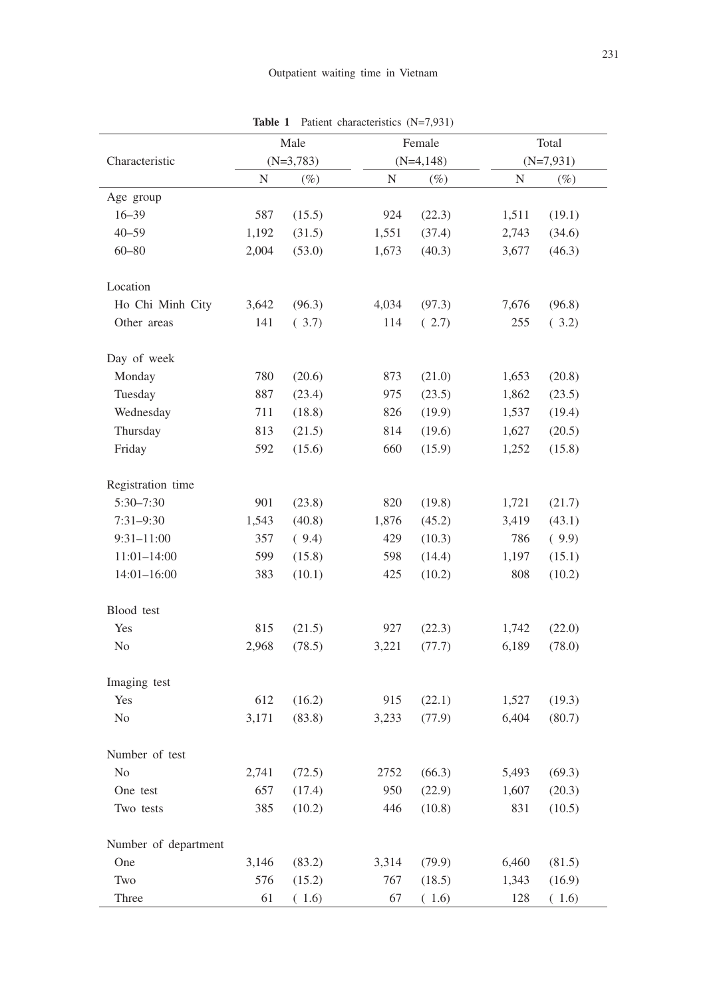|                      | Male<br>$(N=3,783)$ |        | Female |             | Total       |        |
|----------------------|---------------------|--------|--------|-------------|-------------|--------|
| Characteristic       |                     |        |        | $(N=4,148)$ | $(N=7,931)$ |        |
|                      | $\mathbf N$         | $(\%)$ | N      | $(\%)$      | ${\rm N}$   | $(\%)$ |
| Age group            |                     |        |        |             |             |        |
| $16 - 39$            | 587                 | (15.5) | 924    | (22.3)      | 1,511       | (19.1) |
| $40 - 59$            | 1,192               | (31.5) | 1,551  | (37.4)      | 2,743       | (34.6) |
| $60 - 80$            | 2,004               | (53.0) | 1,673  | (40.3)      | 3,677       | (46.3) |
| Location             |                     |        |        |             |             |        |
| Ho Chi Minh City     | 3,642               | (96.3) | 4,034  | (97.3)      | 7,676       | (96.8) |
| Other areas          | 141                 | (3.7)  | 114    | (2.7)       | 255         | (3.2)  |
| Day of week          |                     |        |        |             |             |        |
| Monday               | 780                 | (20.6) | 873    | (21.0)      | 1,653       | (20.8) |
| Tuesday              | 887                 | (23.4) | 975    | (23.5)      | 1,862       | (23.5) |
| Wednesday            | 711                 | (18.8) | 826    | (19.9)      | 1,537       | (19.4) |
| Thursday             | 813                 | (21.5) | 814    | (19.6)      | 1,627       | (20.5) |
| Friday               | 592                 | (15.6) | 660    | (15.9)      | 1,252       | (15.8) |
| Registration time    |                     |        |        |             |             |        |
| 5:30-7:30            | 901                 | (23.8) | 820    | (19.8)      | 1,721       | (21.7) |
| $7:31 - 9:30$        | 1,543               | (40.8) | 1,876  | (45.2)      | 3,419       | (43.1) |
| $9:31 - 11:00$       | 357                 | (9.4)  | 429    | (10.3)      | 786         | (9.9)  |
| $11:01 - 14:00$      | 599                 | (15.8) | 598    | (14.4)      | 1,197       | (15.1) |
| $14:01 - 16:00$      | 383                 | (10.1) | 425    | (10.2)      | 808         | (10.2) |
| Blood test           |                     |        |        |             |             |        |
| Yes                  | 815                 | (21.5) | 927    | (22.3)      | 1,742       | (22.0) |
| No                   | 2,968               | (78.5) | 3,221  | (77.7)      | 6,189       | (78.0) |
| Imaging test         |                     |        |        |             |             |        |
| Yes                  | 612                 | (16.2) | 915    | (22.1)      | 1,527       | (19.3) |
| No                   | 3,171               | (83.8) | 3,233  | (77.9)      | 6,404       | (80.7) |
| Number of test       |                     |        |        |             |             |        |
| No                   | 2,741               | (72.5) | 2752   | (66.3)      | 5,493       | (69.3) |
| One test             | 657                 | (17.4) | 950    | (22.9)      | 1,607       | (20.3) |
| Two tests            | 385                 | (10.2) | 446    | (10.8)      | 831         | (10.5) |
| Number of department |                     |        |        |             |             |        |
| One                  | 3,146               | (83.2) | 3,314  | (79.9)      | 6,460       | (81.5) |
| Two                  | 576                 | (15.2) | 767    | (18.5)      | 1,343       | (16.9) |
| Three                | 61                  | (1.6)  | 67     | (1.6)       | 128         | (1.6)  |

**Table 1** Patient characteristics (N=7,931)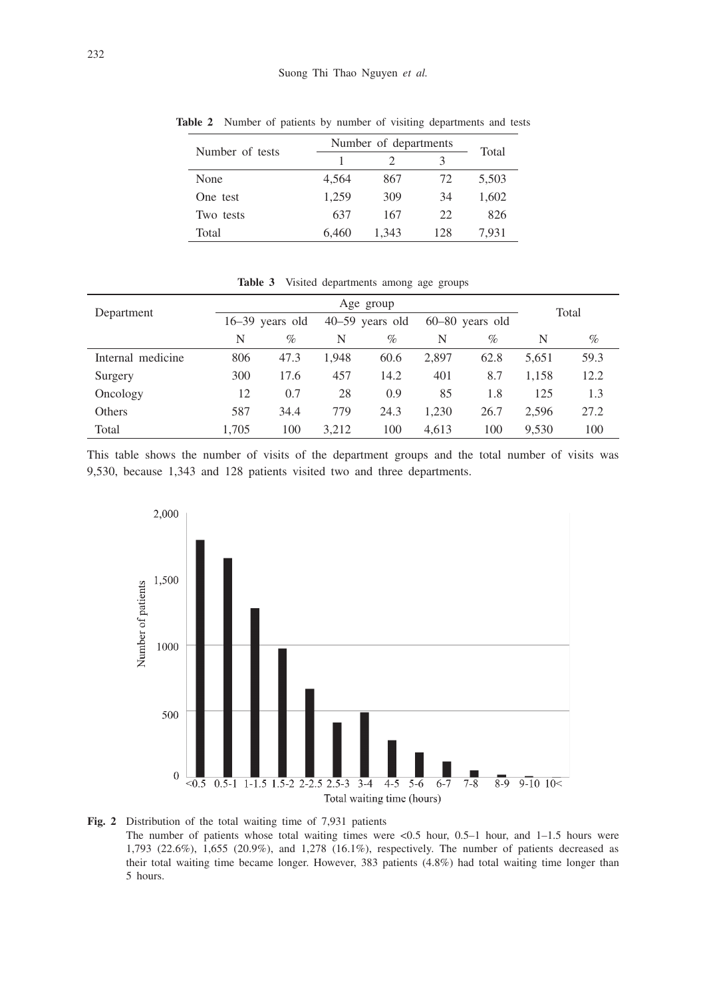| Number of tests | Number of departments | Total |     |       |
|-----------------|-----------------------|-------|-----|-------|
|                 |                       |       |     |       |
| None            | 4.564                 | 867   | 72. | 5,503 |
| One test        | 1.259                 | 309   | 34  | 1,602 |
| Two tests       | 637                   | 167   | 22  | 826   |
| Total           | 6.460                 | 1.343 | 128 | 7.931 |

**Table 2** Number of patients by number of visiting departments and tests

|                   |       | Age group                              |       |                   |       |       |       |      |  |
|-------------------|-------|----------------------------------------|-------|-------------------|-------|-------|-------|------|--|
| Department        |       | $16-39$ years old<br>$40-59$ years old |       | $60-80$ years old |       | Total |       |      |  |
|                   | N     | $\%$                                   | N     | $\%$              | N     | $\%$  | N     | %    |  |
| Internal medicine | 806   | 47.3                                   | 1.948 | 60.6              | 2,897 | 62.8  | 5,651 | 59.3 |  |
| Surgery           | 300   | 17.6                                   | 457   | 14.2              | 401   | 8.7   | 1.158 | 12.2 |  |
| Oncology          | 12    | 0.7                                    | 28    | 0.9               | 85    | 1.8   | 125   | 1.3  |  |
| Others            | 587   | 34.4                                   | 779   | 24.3              | 1.230 | 26.7  | 2.596 | 27.2 |  |
| Total             | 1.705 | 100                                    | 3.212 | 100               | 4.613 | 100   | 9.530 | 100  |  |

**Table 3** Visited departments among age groups

This table shows the number of visits of the department groups and the total number of visits was 9,530, because 1,343 and 128 patients visited two and three departments.



**Fig. 2** Distribution of the total waiting time of 7,931 patients

The number of patients whose total waiting times were  $< 0.5$  hour, 0.5–1 hour, and 1–1.5 hours were 1,793 (22.6%), 1,655 (20.9%), and 1,278 (16.1%), respectively. The number of patients decreased as their total waiting time became longer. However, 383 patients (4.8%) had total waiting time longer than 5 hours.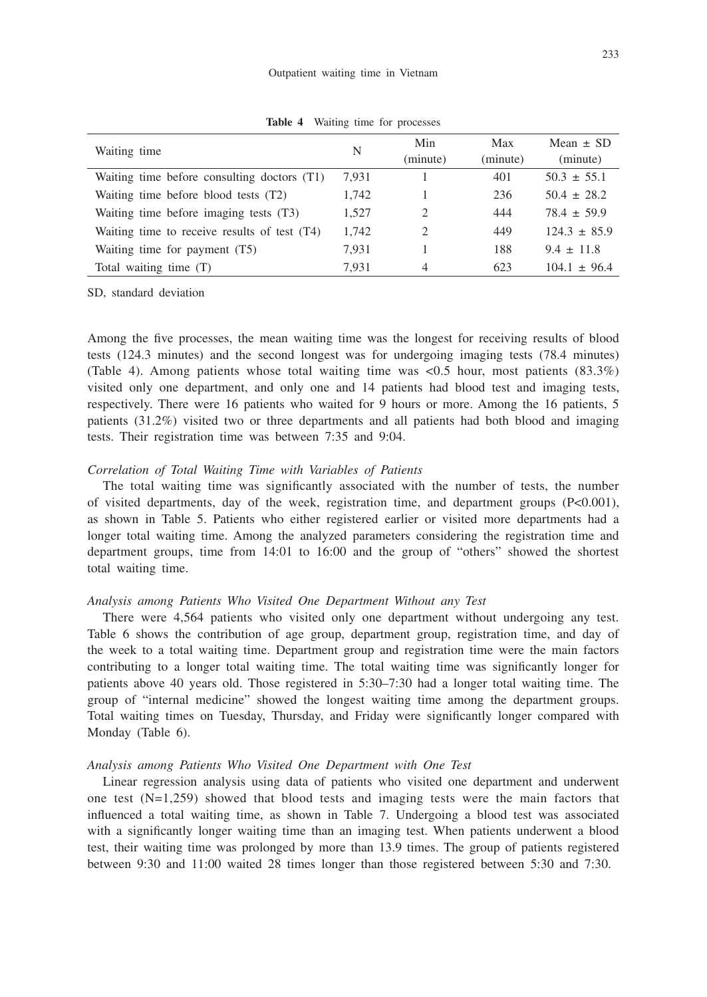| Waiting time                                 | N     | Min<br>(minute)             | Max<br>(minute) | Mean $\pm$ SD<br>(minute) |
|----------------------------------------------|-------|-----------------------------|-----------------|---------------------------|
| Waiting time before consulting doctors (T1)  | 7.931 |                             | 401             | $50.3 \pm 55.1$           |
| Waiting time before blood tests (T2)         | 1.742 |                             | 236             | $50.4 \pm 28.2$           |
| Waiting time before imaging tests (T3)       | 1,527 | $\mathcal{D}_{\mathcal{A}}$ | 444             | $78.4 \pm 59.9$           |
| Waiting time to receive results of test (T4) | 1,742 | $\mathcal{D}_{\mathcal{A}}$ | 449             | $124.3 \pm 85.9$          |
| Waiting time for payment (T5)                | 7.931 |                             | 188             | $9.4 \pm 11.8$            |
| Total waiting time $(T)$                     | 7.931 | 4                           | 623             | $104.1 \pm 96.4$          |

**Table 4** Waiting time for processes

SD, standard deviation

Among the five processes, the mean waiting time was the longest for receiving results of blood tests (124.3 minutes) and the second longest was for undergoing imaging tests (78.4 minutes) (Table 4). Among patients whose total waiting time was  $\langle 0.5 \text{ hour}, \text{most patients } (83.3\%)$ visited only one department, and only one and 14 patients had blood test and imaging tests, respectively. There were 16 patients who waited for 9 hours or more. Among the 16 patients, 5 patients (31.2%) visited two or three departments and all patients had both blood and imaging tests. Their registration time was between 7:35 and 9:04.

## *Correlation of Total Waiting Time with Variables of Patients*

The total waiting time was significantly associated with the number of tests, the number of visited departments, day of the week, registration time, and department groups (P<0.001), as shown in Table 5. Patients who either registered earlier or visited more departments had a longer total waiting time. Among the analyzed parameters considering the registration time and department groups, time from 14:01 to 16:00 and the group of "others" showed the shortest total waiting time.

# *Analysis among Patients Who Visited One Department Without any Test*

There were 4,564 patients who visited only one department without undergoing any test. Table 6 shows the contribution of age group, department group, registration time, and day of the week to a total waiting time. Department group and registration time were the main factors contributing to a longer total waiting time. The total waiting time was significantly longer for patients above 40 years old. Those registered in 5:30–7:30 had a longer total waiting time. The group of "internal medicine" showed the longest waiting time among the department groups. Total waiting times on Tuesday, Thursday, and Friday were significantly longer compared with Monday (Table 6).

## *Analysis among Patients Who Visited One Department with One Test*

Linear regression analysis using data of patients who visited one department and underwent one test  $(N=1,259)$  showed that blood tests and imaging tests were the main factors that influenced a total waiting time, as shown in Table 7. Undergoing a blood test was associated with a significantly longer waiting time than an imaging test. When patients underwent a blood test, their waiting time was prolonged by more than 13.9 times. The group of patients registered between 9:30 and 11:00 waited 28 times longer than those registered between 5:30 and 7:30.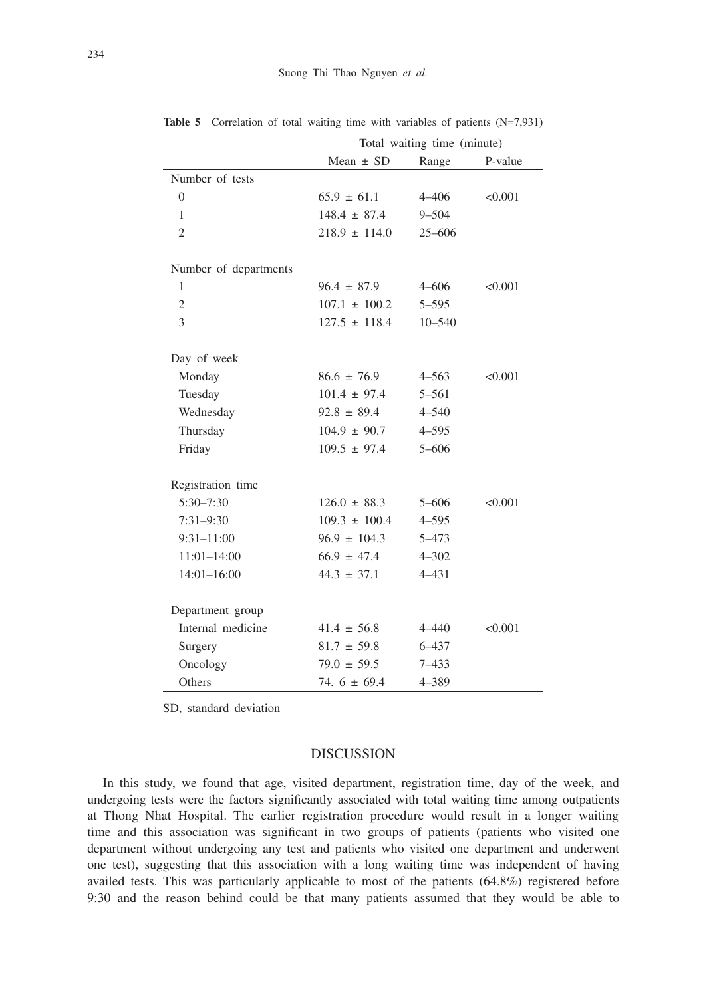|                       | Total waiting time (minute) |            |         |  |  |
|-----------------------|-----------------------------|------------|---------|--|--|
|                       | Mean $\pm$ SD               | Range      | P-value |  |  |
| Number of tests       |                             |            |         |  |  |
| $\overline{0}$        | $65.9 \pm 61.1$             | $4 - 406$  | < 0.001 |  |  |
| 1                     | $148.4 \pm 87.4$            | $9 - 504$  |         |  |  |
| $\overline{2}$        | $218.9 \pm 114.0$           | $25 - 606$ |         |  |  |
|                       |                             |            |         |  |  |
| Number of departments |                             |            |         |  |  |
| 1                     | $96.4 \pm 87.9$             | $4 - 606$  | < 0.001 |  |  |
| $\mathfrak{2}$        | $107.1 \pm 100.2$           | $5 - 595$  |         |  |  |
| 3                     | $127.5 \pm 118.4$           | $10 - 540$ |         |  |  |
|                       |                             |            |         |  |  |
| Day of week           |                             |            |         |  |  |
| Monday                | $86.6 \pm 76.9$             | $4 - 563$  | < 0.001 |  |  |
| Tuesday               | $101.4 \pm 97.4$            | $5 - 561$  |         |  |  |
| Wednesday             | $92.8 \pm 89.4$             | $4 - 540$  |         |  |  |
| Thursday              | $104.9 \pm 90.7$            | $4 - 595$  |         |  |  |
| Friday                | $109.5 \pm 97.4$            | $5 - 606$  |         |  |  |
|                       |                             |            |         |  |  |
| Registration time     |                             |            |         |  |  |
| $5:30 - 7:30$         | $126.0 \pm 88.3$            | $5 - 606$  | < 0.001 |  |  |
| $7:31-9:30$           | $109.3 \pm 100.4$           | $4 - 595$  |         |  |  |
| $9:31 - 11:00$        | $96.9 \pm 104.3$            | 5-473      |         |  |  |
| $11:01 - 14:00$       | $66.9 \pm 47.4$             | $4 - 302$  |         |  |  |
| $14:01 - 16:00$       | $44.3 \pm 37.1$             | $4 - 431$  |         |  |  |
|                       |                             |            |         |  |  |
| Department group      |                             |            |         |  |  |
| Internal medicine     | $41.4 \pm 56.8$             | $4 - 440$  | < 0.001 |  |  |
| Surgery               | $81.7 \pm 59.8$             | $6 - 437$  |         |  |  |
| Oncology              | $79.0 \pm 59.5$             | $7 - 433$  |         |  |  |
| Others                | 74. $6 \pm 69.4$            | 4-389      |         |  |  |

**Table 5** Correlation of total waiting time with variables of patients (N=7,931)

SD, standard deviation

# DISCUSSION

In this study, we found that age, visited department, registration time, day of the week, and undergoing tests were the factors significantly associated with total waiting time among outpatients at Thong Nhat Hospital. The earlier registration procedure would result in a longer waiting time and this association was significant in two groups of patients (patients who visited one department without undergoing any test and patients who visited one department and underwent one test), suggesting that this association with a long waiting time was independent of having availed tests. This was particularly applicable to most of the patients (64.8%) registered before 9:30 and the reason behind could be that many patients assumed that they would be able to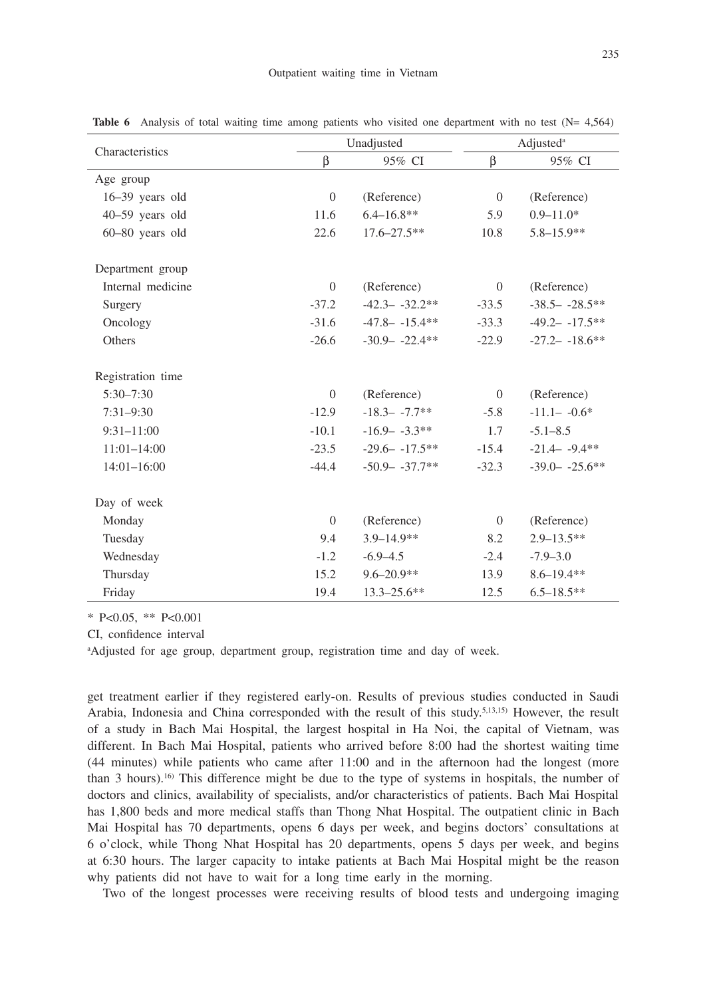|                   |                | Unadjusted        | Adjusted <sup>a</sup> |                    |  |
|-------------------|----------------|-------------------|-----------------------|--------------------|--|
| Characteristics   | β              | 95% CI            |                       | 95% CI             |  |
| Age group         |                |                   |                       |                    |  |
| $16-39$ years old | $\theta$       | (Reference)       | $\overline{0}$        | (Reference)        |  |
| 40-59 years old   | 11.6           | $6.4 - 16.8**$    | 5.9                   | $0.9 - 11.0*$      |  |
| 60-80 years old   | 22.6           | $17.6 - 27.5$ **  | 10.8                  | $5.8 - 15.9**$     |  |
| Department group  |                |                   |                       |                    |  |
| Internal medicine | $\theta$       | (Reference)       | $\overline{0}$        | (Reference)        |  |
| Surgery           | $-37.2$        | $-42.3 - -32.2**$ | $-33.5$               | $-38.5 - -28.5**$  |  |
| Oncology          | $-31.6$        | $-47.8 - -15.4**$ | $-33.3$               | $-49.2 - -17.5**$  |  |
| Others            | $-26.6$        | $-30.9 - -22.4**$ | $-22.9$               | $-27.2 - -18.6$ ** |  |
| Registration time |                |                   |                       |                    |  |
| $5:30 - 7:30$     | $\overline{0}$ | (Reference)       | $\overline{0}$        | (Reference)        |  |
| $7:31 - 9:30$     | $-12.9$        | $-18.3 - -7.7**$  | $-5.8$                | $-11.1 - -0.6*$    |  |
| $9:31 - 11:00$    | $-10.1$        | $-16.9 - -3.3**$  | 1.7                   | $-5.1 - 8.5$       |  |
| $11:01-14:00$     | $-23.5$        | $-29.6 - -17.5**$ | $-15.4$               | $-21.4 - -9.4$ **  |  |
| $14:01 - 16:00$   | $-44.4$        | $-50.9 - -37.7**$ | $-32.3$               | $-39.0 - -25.6$ ** |  |
| Day of week       |                |                   |                       |                    |  |
| Monday            | $\overline{0}$ | (Reference)       | $\mathbf{0}$          | (Reference)        |  |
| Tuesday           | 9.4            | $3.9 - 14.9**$    | 8.2                   | $2.9 - 13.5**$     |  |
| Wednesday         | $-1.2$         | $-6.9 - 4.5$      | $-2.4$                | $-7.9 - 3.0$       |  |
| Thursday          | 15.2           | $9.6 - 20.9**$    | 13.9                  | $8.6 - 19.4**$     |  |
| Friday            | 19.4           | $13.3 - 25.6$ **  | 12.5                  | $6.5 - 18.5$ **    |  |

**Table 6** Analysis of total waiting time among patients who visited one department with no test (N= 4,564)

\* P<0.05, \*\* P<0.001

CI, confidence interval

aAdjusted for age group, department group, registration time and day of week.

get treatment earlier if they registered early-on. Results of previous studies conducted in Saudi Arabia, Indonesia and China corresponded with the result of this study.5,13,15) However, the result of a study in Bach Mai Hospital, the largest hospital in Ha Noi, the capital of Vietnam, was different. In Bach Mai Hospital, patients who arrived before 8:00 had the shortest waiting time (44 minutes) while patients who came after 11:00 and in the afternoon had the longest (more than 3 hours).<sup>16)</sup> This difference might be due to the type of systems in hospitals, the number of doctors and clinics, availability of specialists, and/or characteristics of patients. Bach Mai Hospital has 1,800 beds and more medical staffs than Thong Nhat Hospital. The outpatient clinic in Bach Mai Hospital has 70 departments, opens 6 days per week, and begins doctors' consultations at 6 o'clock, while Thong Nhat Hospital has 20 departments, opens 5 days per week, and begins at 6:30 hours. The larger capacity to intake patients at Bach Mai Hospital might be the reason why patients did not have to wait for a long time early in the morning.

Two of the longest processes were receiving results of blood tests and undergoing imaging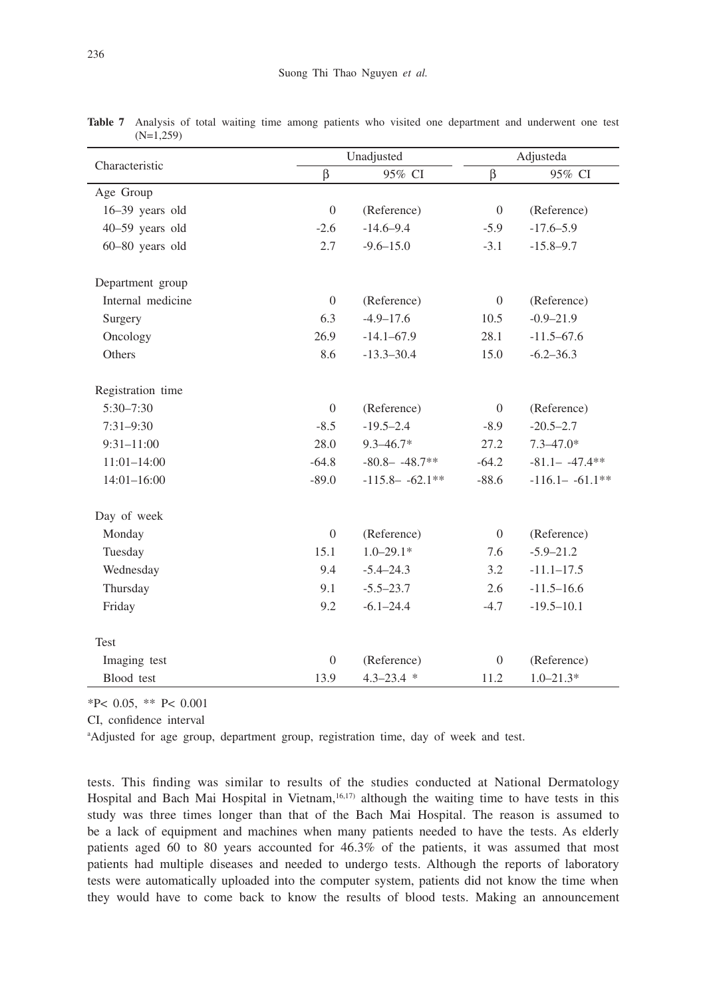|                   | Unadjusted     |                    |                | Adjusteda          |  |  |
|-------------------|----------------|--------------------|----------------|--------------------|--|--|
| Characteristic    | β              | 95% CI             | β              | 95% CI             |  |  |
| Age Group         |                |                    |                |                    |  |  |
| 16-39 years old   | $\theta$       | (Reference)        | $\theta$       | (Reference)        |  |  |
| 40-59 years old   | $-2.6$         | $-14.6 - 9.4$      | $-5.9$         | $-17.6 - 5.9$      |  |  |
| 60-80 years old   | 2.7            | $-9.6 - 15.0$      | $-3.1$         | $-15.8 - 9.7$      |  |  |
| Department group  |                |                    |                |                    |  |  |
| Internal medicine | $\theta$       | (Reference)        | $\overline{0}$ | (Reference)        |  |  |
| Surgery           | 6.3            | $-4.9 - 17.6$      | 10.5           | $-0.9 - 21.9$      |  |  |
| Oncology          | 26.9           | $-14.1 - 67.9$     | 28.1           | $-11.5 - 67.6$     |  |  |
| Others            | 8.6            | $-13.3 - 30.4$     | 15.0           | $-6.2 - 36.3$      |  |  |
| Registration time |                |                    |                |                    |  |  |
| $5:30 - 7:30$     | $\overline{0}$ | (Reference)        | $\overline{0}$ | (Reference)        |  |  |
| $7:31-9:30$       | $-8.5$         | $-19.5 - 2.4$      | $-8.9$         | $-20.5 - 2.7$      |  |  |
| $9:31 - 11:00$    | 28.0           | $9.3 - 46.7*$      | 27.2           | $7.3 - 47.0*$      |  |  |
| $11:01-14:00$     | $-64.8$        | $-80.8 - -48.7**$  | $-64.2$        | $-81.1 - -47.4**$  |  |  |
| $14:01 - 16:00$   | $-89.0$        | $-115.8 - -62.1**$ | $-88.6$        | $-116.1 - -61.1**$ |  |  |
| Day of week       |                |                    |                |                    |  |  |
| Monday            | $\theta$       | (Reference)        | $\overline{0}$ | (Reference)        |  |  |
| Tuesday           | 15.1           | $1.0 - 29.1*$      | 7.6            | $-5.9 - 21.2$      |  |  |
| Wednesday         | 9.4            | $-5.4 - 24.3$      | 3.2            | $-11.1 - 17.5$     |  |  |
| Thursday          | 9.1            | $-5.5 - 23.7$      | 2.6            | $-11.5 - 16.6$     |  |  |
| Friday            | 9.2            | $-6.1 - 24.4$      | $-4.7$         | $-19.5 - 10.1$     |  |  |
| Test              |                |                    |                |                    |  |  |
| Imaging test      | $\theta$       | (Reference)        | $\Omega$       | (Reference)        |  |  |
| Blood test        | 13.9           | $4.3 - 23.4$ *     | 11.2           | $1.0 - 21.3*$      |  |  |

**Table 7** Analysis of total waiting time among patients who visited one department and underwent one test (N=1,259)

\*P< 0.05, \*\* P< 0.001

CI, confidence interval

aAdjusted for age group, department group, registration time, day of week and test.

tests. This finding was similar to results of the studies conducted at National Dermatology Hospital and Bach Mai Hospital in Vietnam,<sup>16,17)</sup> although the waiting time to have tests in this study was three times longer than that of the Bach Mai Hospital. The reason is assumed to be a lack of equipment and machines when many patients needed to have the tests. As elderly patients aged 60 to 80 years accounted for 46.3% of the patients, it was assumed that most patients had multiple diseases and needed to undergo tests. Although the reports of laboratory tests were automatically uploaded into the computer system, patients did not know the time when they would have to come back to know the results of blood tests. Making an announcement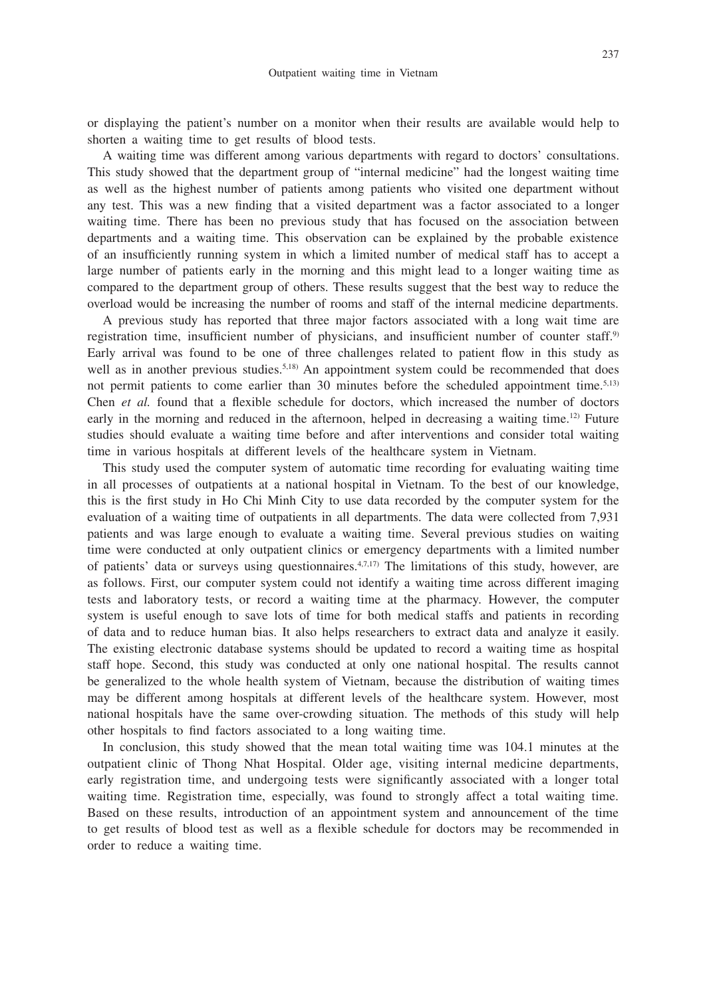or displaying the patient's number on a monitor when their results are available would help to shorten a waiting time to get results of blood tests.

A waiting time was different among various departments with regard to doctors' consultations. This study showed that the department group of "internal medicine" had the longest waiting time as well as the highest number of patients among patients who visited one department without any test. This was a new finding that a visited department was a factor associated to a longer waiting time. There has been no previous study that has focused on the association between departments and a waiting time. This observation can be explained by the probable existence of an insufficiently running system in which a limited number of medical staff has to accept a large number of patients early in the morning and this might lead to a longer waiting time as compared to the department group of others. These results suggest that the best way to reduce the overload would be increasing the number of rooms and staff of the internal medicine departments.

A previous study has reported that three major factors associated with a long wait time are registration time, insufficient number of physicians, and insufficient number of counter staff.<sup>9)</sup> Early arrival was found to be one of three challenges related to patient flow in this study as well as in another previous studies.<sup>5,18)</sup> An appointment system could be recommended that does not permit patients to come earlier than 30 minutes before the scheduled appointment time.<sup>5,13)</sup> Chen *et al.* found that a flexible schedule for doctors, which increased the number of doctors early in the morning and reduced in the afternoon, helped in decreasing a waiting time.12) Future studies should evaluate a waiting time before and after interventions and consider total waiting time in various hospitals at different levels of the healthcare system in Vietnam.

This study used the computer system of automatic time recording for evaluating waiting time in all processes of outpatients at a national hospital in Vietnam. To the best of our knowledge, this is the first study in Ho Chi Minh City to use data recorded by the computer system for the evaluation of a waiting time of outpatients in all departments. The data were collected from 7,931 patients and was large enough to evaluate a waiting time. Several previous studies on waiting time were conducted at only outpatient clinics or emergency departments with a limited number of patients' data or surveys using questionnaires.4,7,17) The limitations of this study, however, are as follows. First, our computer system could not identify a waiting time across different imaging tests and laboratory tests, or record a waiting time at the pharmacy. However, the computer system is useful enough to save lots of time for both medical staffs and patients in recording of data and to reduce human bias. It also helps researchers to extract data and analyze it easily. The existing electronic database systems should be updated to record a waiting time as hospital staff hope. Second, this study was conducted at only one national hospital. The results cannot be generalized to the whole health system of Vietnam, because the distribution of waiting times may be different among hospitals at different levels of the healthcare system. However, most national hospitals have the same over-crowding situation. The methods of this study will help other hospitals to find factors associated to a long waiting time.

In conclusion, this study showed that the mean total waiting time was 104.1 minutes at the outpatient clinic of Thong Nhat Hospital. Older age, visiting internal medicine departments, early registration time, and undergoing tests were significantly associated with a longer total waiting time. Registration time, especially, was found to strongly affect a total waiting time. Based on these results, introduction of an appointment system and announcement of the time to get results of blood test as well as a flexible schedule for doctors may be recommended in order to reduce a waiting time.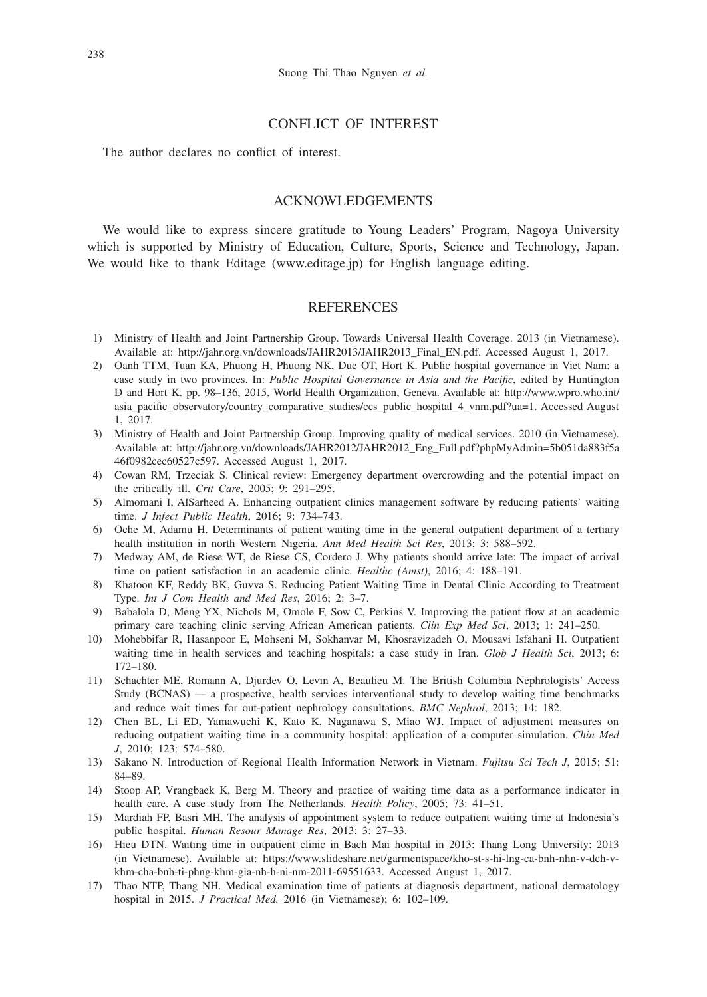# CONFLICT OF INTEREST

The author declares no conflict of interest.

## ACKNOWLEDGEMENTS

We would like to express sincere gratitude to Young Leaders' Program, Nagoya University which is supported by Ministry of Education, Culture, Sports, Science and Technology, Japan. We would like to thank Editage (www.editage.jp) for English language editing.

### **REFERENCES**

- 1) Ministry of Health and Joint Partnership Group. Towards Universal Health Coverage. 2013 (in Vietnamese). Available at: http://jahr.org.vn/downloads/JAHR2013/JAHR2013\_Final\_EN.pdf. Accessed August 1, 2017.
- 2) Oanh TTM, Tuan KA, Phuong H, Phuong NK, Due OT, Hort K. Public hospital governance in Viet Nam: a case study in two provinces. In: *Public Hospital Governance in Asia and the Pacific*, edited by Huntington D and Hort K. pp. 98–136, 2015, World Health Organization, Geneva. Available at: http://www.wpro.who.int/ asia\_pacific\_observatory/country\_comparative\_studies/ccs\_public\_hospital\_4\_vnm.pdf?ua=1. Accessed August 1, 2017.
- 3) Ministry of Health and Joint Partnership Group. Improving quality of medical services. 2010 (in Vietnamese). Available at: http://jahr.org.vn/downloads/JAHR2012/JAHR2012\_Eng\_Full.pdf?phpMyAdmin=5b051da883f5a 46f0982cec60527c597. Accessed August 1, 2017.
- 4) Cowan RM, Trzeciak S. Clinical review: Emergency department overcrowding and the potential impact on the critically ill. *Crit Care*, 2005; 9: 291–295.
- 5) Almomani I, AlSarheed A. Enhancing outpatient clinics management software by reducing patients' waiting time. *J Infect Public Health*, 2016; 9: 734–743.
- 6) Oche M, Adamu H. Determinants of patient waiting time in the general outpatient department of a tertiary health institution in north Western Nigeria. *Ann Med Health Sci Res*, 2013; 3: 588–592.
- 7) Medway AM, de Riese WT, de Riese CS, Cordero J. Why patients should arrive late: The impact of arrival time on patient satisfaction in an academic clinic. *Healthc (Amst)*, 2016; 4: 188–191.
- 8) Khatoon KF, Reddy BK, Guvva S. Reducing Patient Waiting Time in Dental Clinic According to Treatment Type. *Int J Com Health and Med Res*, 2016; 2: 3–7.
- 9) Babalola D, Meng YX, Nichols M, Omole F, Sow C, Perkins V. Improving the patient flow at an academic primary care teaching clinic serving African American patients. *Clin Exp Med Sci*, 2013; 1: 241–250.
- 10) Mohebbifar R, Hasanpoor E, Mohseni M, Sokhanvar M, Khosravizadeh O, Mousavi Isfahani H. Outpatient waiting time in health services and teaching hospitals: a case study in Iran. *Glob J Health Sci*, 2013; 6: 172–180.
- 11) Schachter ME, Romann A, Djurdev O, Levin A, Beaulieu M. The British Columbia Nephrologists' Access Study (BCNAS) — a prospective, health services interventional study to develop waiting time benchmarks and reduce wait times for out-patient nephrology consultations. *BMC Nephrol*, 2013; 14: 182.
- 12) Chen BL, Li ED, Yamawuchi K, Kato K, Naganawa S, Miao WJ. Impact of adjustment measures on reducing outpatient waiting time in a community hospital: application of a computer simulation. *Chin Med J*, 2010; 123: 574–580.
- 13) Sakano N. Introduction of Regional Health Information Network in Vietnam. *Fujitsu Sci Tech J*, 2015; 51: 84–89.
- 14) Stoop AP, Vrangbaek K, Berg M. Theory and practice of waiting time data as a performance indicator in health care. A case study from The Netherlands. *Health Policy*, 2005; 73: 41–51.
- 15) Mardiah FP, Basri MH. The analysis of appointment system to reduce outpatient waiting time at Indonesia's public hospital. *Human Resour Manage Res*, 2013; 3: 27–33.
- 16) Hieu DTN. Waiting time in outpatient clinic in Bach Mai hospital in 2013: Thang Long University; 2013 (in Vietnamese). Available at: https://www.slideshare.net/garmentspace/kho-st-s-hi-lng-ca-bnh-nhn-v-dch-vkhm-cha-bnh-ti-phng-khm-gia-nh-h-ni-nm-2011-69551633. Accessed August 1, 2017.
- 17) Thao NTP, Thang NH. Medical examination time of patients at diagnosis department, national dermatology hospital in 2015. *J Practical Med.* 2016 (in Vietnamese); 6: 102–109.